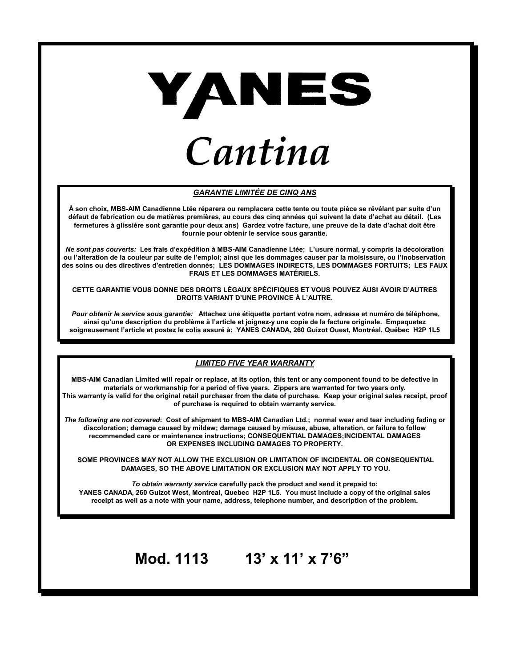

#### *GARANTIE LIMITÉE DE CINQ ANS*

**À son choix, MBS-AIM Canadienne Ltée réparera ou remplacera cette tente ou toute pièce se révélant par suite d'un défaut de fabrication ou de matières premières, au cours des cinq années qui suivent la date d'achat au détail. (Les fermetures à glissière sont garantie pour deux ans) Gardez votre facture, une preuve de la date d'achat doit être fournie pour obtenir le service sous garantie.** 

*Ne sont pas couverts:* **Les frais d'expédition à MBS-AIM Canadienne Ltée; L'usure normal, y compris la décoloration ou l'alteration de la couleur par suite de l'emploi; ainsi que les dommages causer par la moisissure, ou l'inobservation des soins ou des directives d'entretien donnés; LES DOMMAGES INDIRECTS, LES DOMMAGES FORTUITS; LES FAUX FRAIS ET LES DOMMAGES MATÉRIELS.** 

**CETTE GARANTIE VOUS DONNE DES DROITS LÉGAUX SPÉCIFIQUES ET VOUS POUVEZ AUSI AVOIR D'AUTRES DROITS VARIANT D'UNE PROVINCE À L'AUTRE.**

 *Pour obtenir le service sous garantie:* **Attachez une étiquette portant votre nom, adresse et numéro de téléphone, ainsi qu'une description du problème à l'article et joignez-y une copie de la facture originale. Empaquetez soigneusement l'article et postez le colis assuré à: YANES CANADA, 260 Guizot Ouest, Montréal, Québec H2P 1L5** 

#### *LIMITED FIVE YEAR WARRANTY*

**MBS-AIM Canadian Limited will repair or replace, at its option, this tent or any component found to be defective in materials or workmanship for a period of five years. Zippers are warranted for two years only. This warranty is valid for the original retail purchaser from the date of purchase. Keep your original sales receipt, proof of purchase is required to obtain warranty service.**

*The following are not covered***: Cost of shipment to MBS-AIM Canadian Ltd.; normal wear and tear including fading or discoloration; damage caused by mildew; damage caused by misuse, abuse, alteration, or failure to follow recommended care or maintenance instructions; CONSEQUENTIAL DAMAGES;INCIDENTAL DAMAGES OR EXPENSES INCLUDING DAMAGES TO PROPERTY.** 

 **SOME PROVINCES MAY NOT ALLOW THE EXCLUSION OR LIMITATION OF INCIDENTAL OR CONSEQUENTIAL DAMAGES, SO THE ABOVE LIMITATION OR EXCLUSION MAY NOT APPLY TO YOU.** 

*To obtain warranty service* **carefully pack the product and send it prepaid to: YANES CANADA, 260 Guizot West, Montreal, Quebec H2P 1L5. You must include a copy of the original sales receipt as well as a note with your name, address, telephone number, and description of the problem.** 

# **Mod. 1113 13' x 11' x 7'6"**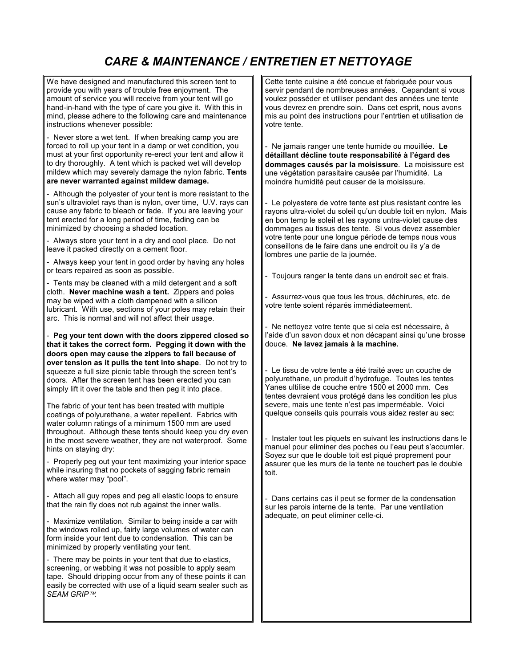## *CARE & MAINTENANCE / ENTRETIEN ET NETTOYAGE*

We have designed and manufactured this screen tent to provide you with years of trouble free enjoyment. The amount of service you will receive from your tent will go hand-in-hand with the type of care you give it. With this in mind, please adhere to the following care and maintenance instructions whenever possible:

- Never store a wet tent. If when breaking camp you are forced to roll up your tent in a damp or wet condition, you must at your first opportunity re-erect your tent and allow it to dry thoroughly. A tent which is packed wet will develop mildew which may severely damage the nylon fabric. **Tents are never warranted against mildew damage.** 

- Although the polyester of your tent is more resistant to the sun's ultraviolet rays than is nylon, over time, U.V. rays can cause any fabric to bleach or fade. If you are leaving your tent erected for a long period of time, fading can be minimized by choosing a shaded location.

- Always store your tent in a dry and cool place. Do not leave it packed directly on a cement floor.

- Always keep your tent in good order by having any holes or tears repaired as soon as possible.

- Tents may be cleaned with a mild detergent and a soft cloth. **Never machine wash a tent.** Zippers and poles may be wiped with a cloth dampened with a silicon lubricant. With use, sections of your poles may retain their arc. This is normal and will not affect their usage.

- **Peg your tent down with the doors zippered closed so that it takes the correct form. Pegging it down with the doors open may cause the zippers to fail because of over tension as it pulls the tent into shape**. Do not try to squeeze a full size picnic table through the screen tent's doors. After the screen tent has been erected you can simply lift it over the table and then peg it into place.

The fabric of your tent has been treated with multiple coatings of polyurethane, a water repellent. Fabrics with water column ratings of a minimum 1500 mm are used throughout. Although these tents should keep you dry even in the most severe weather, they are not waterproof. Some hints on staying dry:

- Properly peg out your tent maximizing your interior space while insuring that no pockets of sagging fabric remain where water may "pool".

- Attach all guy ropes and peg all elastic loops to ensure that the rain fly does not rub against the inner walls.

- Maximize ventilation. Similar to being inside a car with the windows rolled up, fairly large volumes of water can form inside your tent due to condensation. This can be minimized by properly ventilating your tent.

- There may be points in your tent that due to elastics, screening, or webbing it was not possible to apply seam tape. Should dripping occur from any of these points it can easily be corrected with use of a liquid seam sealer such as *SEAM GRIP.*

Cette tente cuisine a été concue et fabriquée pour vous servir pendant de nombreuses années. Cepandant si vous voulez posséder et utiliser pendant des années une tente vous devrez en prendre soin. Dans cet esprit, nous avons mis au point des instructions pour l'entrtien et utilisation de votre tente.

- Ne jamais ranger une tente humide ou mouillée. **Le détaillant décline toute responsabilité à l'égard des dommages causés par la moisissure**. La moisissure est une végétation parasitaire causée par l'humidité. La moindre humidité peut causer de la moisissure.

- Le polyestere de votre tente est plus resistant contre les rayons ultra-violet du soleil qu'un double toit en nylon. Mais en bon temp le soleil et les rayons untra-violet cause des dommages au tissus des tente. Si vous devez assembler votre tente pour une longue période de temps nous vous conseillons de le faire dans une endroit ou ils y'a de lombres une partie de la journée.

Toujours ranger la tente dans un endroit sec et frais.

- Assurrez-vous que tous les trous, déchirures, etc. de votre tente soient réparés immédiateement.

Ne nettoyez votre tente que si cela est nécessaire, à l'aide d'un savon doux et non décapant ainsi qu'une brosse douce. **Ne lavez jamais à la machine.**

- Le tissu de votre tente a été traité avec un couche de polyurethane, un produit d'hydrofuge. Toutes les tentes Yanes ultilise de couche entre 1500 et 2000 mm. Ces tentes devraient vous protégé dans les condition les plus severe, mais une tente n'est pas imperméable. Voici quelque conseils quis pourrais vous aidez rester au sec:

- Instaler tout les piquets en suivant les instructions dans le manuel pour eliminer des poches ou l'eau peut s'accumler. Soyez sur que le double toit est piqué proprement pour assurer que les murs de la tente ne touchert pas le double toit.

Dans certains cas il peut se former de la condensation sur les parois interne de la tente. Par une ventilation adequate, on peut eliminer celle-ci.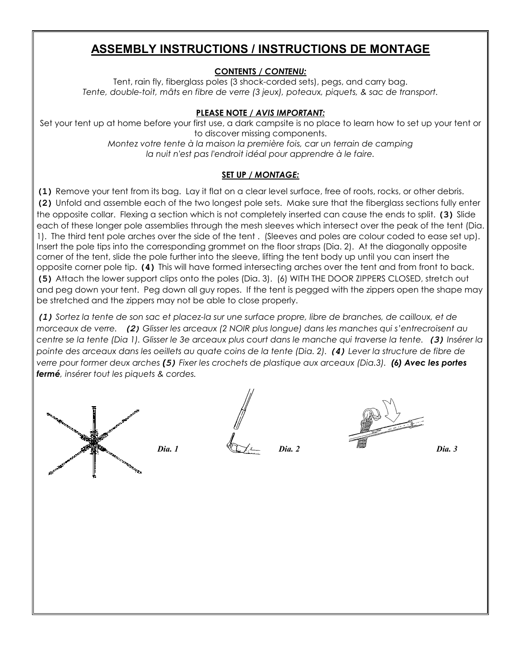## **ASSEMBLY INSTRUCTIONS / INSTRUCTIONS DE MONTAGE**

### **CONTENTS** */ CONTENU:*

Tent, rain fly, fiberglass poles (3 shock-corded sets), pegs, and carry bag. *Tente, double-toit, mâts en fibre de verre (3 jeux), poteaux, piquets, & sac de transport.*

#### **PLEASE NOTE** */ AVIS IMPORTANT:*

Set your tent up at home before your first use, a dark campsite is no place to learn how to set up your tent or to discover missing components. *Montez votre tente à la maison la première fois, car un terrain de camping la nuit n'est pas l'endroit idéal pour apprendre à le faire.*

### **SET UP** */ MONTAGE:*

**(1)** Remove your tent from its bag. Lay it flat on a clear level surface, free of roots, rocks, or other debris. **(2)** Unfold and assemble each of the two longest pole sets. Make sure that the fiberglass sections fully enter the opposite collar. Flexing a section which is not completely inserted can cause the ends to split. **(3)** Slide each of these longer pole assemblies through the mesh sleeves which intersect over the peak of the tent (Dia. 1). The third tent pole arches over the side of the tent . (Sleeves and poles are colour coded to ease set up). Insert the pole tips into the corresponding grommet on the floor straps (Dia. 2). At the diagonally opposite corner of the tent, slide the pole further into the sleeve, lifting the tent body up until you can insert the opposite corner pole tip. **(4)** This will have formed intersecting arches over the tent and from front to back. **(5)** Attach the lower support clips onto the poles (Dia. 3). (6) WITH THE DOOR ZIPPERS CLOSED, stretch out and peg down your tent. Peg down all guy ropes. If the tent is pegged with the zippers open the shape may be stretched and the zippers may not be able to close properly.

*(1) Sortez la tente de son sac et placez-la sur une surface propre, libre de branches, de cailloux, et de morceaux de verre. (2) Glisser les arceaux (2 NOIR plus longue) dans les manches qui s'entrecroisent au centre se la tente (Dia 1). Glisser le 3e arceaux plus court dans le manche qui traverse la tente. (3) Insérer la pointe des arceaux dans les oeillets au quate coins de la tente (Dia. 2). (4) Lever la structure de fibre de verre pour former deux arches (5) Fixer les crochets de plastique aux arceaux (Dia.3). (6) Avec les portes fermé, insérer tout les piquets & cordes.*